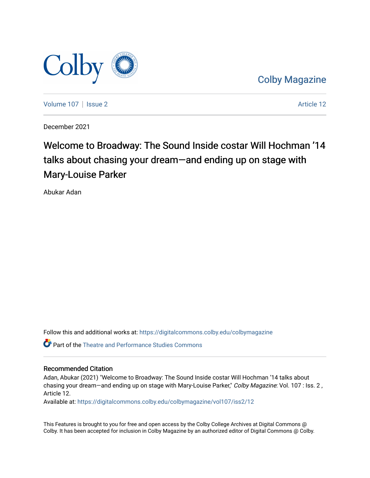

[Colby Magazine](https://digitalcommons.colby.edu/colbymagazine) 

[Volume 107](https://digitalcommons.colby.edu/colbymagazine/vol107) | [Issue 2](https://digitalcommons.colby.edu/colbymagazine/vol107/iss2) Article 12

December 2021

## Welcome to Broadway: The Sound Inside costar Will Hochman '14 talks about chasing your dream—and ending up on stage with Mary-Louise Parker

Abukar Adan

Follow this and additional works at: [https://digitalcommons.colby.edu/colbymagazine](https://digitalcommons.colby.edu/colbymagazine?utm_source=digitalcommons.colby.edu%2Fcolbymagazine%2Fvol107%2Fiss2%2F12&utm_medium=PDF&utm_campaign=PDFCoverPages)

Part of the [Theatre and Performance Studies Commons](http://network.bepress.com/hgg/discipline/552?utm_source=digitalcommons.colby.edu%2Fcolbymagazine%2Fvol107%2Fiss2%2F12&utm_medium=PDF&utm_campaign=PDFCoverPages) 

## Recommended Citation

Adan, Abukar (2021) "Welcome to Broadway: The Sound Inside costar Will Hochman '14 talks about chasing your dream—and ending up on stage with Mary-Louise Parker," Colby Magazine: Vol. 107 : Iss. 2, Article 12.

Available at: [https://digitalcommons.colby.edu/colbymagazine/vol107/iss2/12](https://digitalcommons.colby.edu/colbymagazine/vol107/iss2/12?utm_source=digitalcommons.colby.edu%2Fcolbymagazine%2Fvol107%2Fiss2%2F12&utm_medium=PDF&utm_campaign=PDFCoverPages)

This Features is brought to you for free and open access by the Colby College Archives at Digital Commons @ Colby. It has been accepted for inclusion in Colby Magazine by an authorized editor of Digital Commons @ Colby.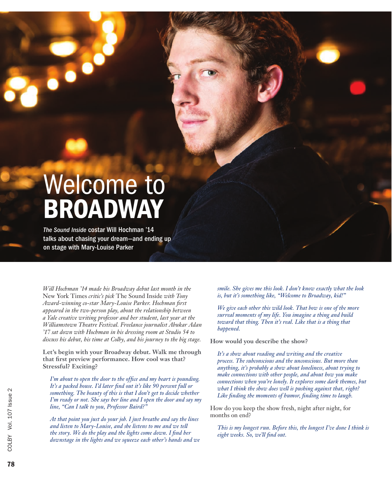## Welcome to BROADWAY

*The Sound Inside* costar Will Hochman '14 talks about chasing your dream—and ending up on stage with Mary-Louise Parker

*Will Hochman '14 made his Broadway debut last month in the*  New York Times *critic's pick* The Sound Inside *with Tony Award-winning co-star Mary-Louise Parker. Hochman first appeared in the two-person play, about the relationship between a Yale creative writing professor and her student, last year at the Williamstown Theatre Festival. Freelance journalist Abukar Adan '17 sat down with Hochman in his dressing room at Studio 54 to discuss his debut, his time at Colby, and his journey to the big stage.* 

**Let's begin with your Broadway debut. Walk me through that first preview performance. How cool was that? Stressful? Exciting?**

*I'm about to open the door to the office and my heart is pounding. It's a packed house. I'd later find out it's like 90 percent full or something. The beauty of this is that I don't get to decide whether I'm ready or not. She says her line and I open the door and say my line, "Can I talk to you, Professor Baird?"*

*At that point you just do your job. I just breathe and say the lines and listen to Mary-Louise, and she listens to me and we tell the story. We do the play and the lights come down. I find her downstage in the lights and we squeeze each other's hands and we*  *smile. She gives me this look. I don't know exactly what the look is, but it's something like, "Welcome to Broadway, kid!"*

*We give each other this wild look. That bow is one of the more surreal moments of my life. You imagine a thing and build toward that thing. Then it's real. Like that is a thing that happened.*

**How would you describe the show?**

*It's a show about reading and writing and the creative process. The subconscious and the unconscious. But more than anything, it's probably a show about loneliness, about trying to make connections with other people, and about how you make connections when you're lonely. It explores some dark themes, but what I think the show does well is pushing against that, right? Like finding the moments of humor, finding time to laugh.*

How do you keep the show fresh, night after night, for months on end?

*This is my longest run. Before this, the longest I've done I think is eight weeks. So, we'll find out.*

78